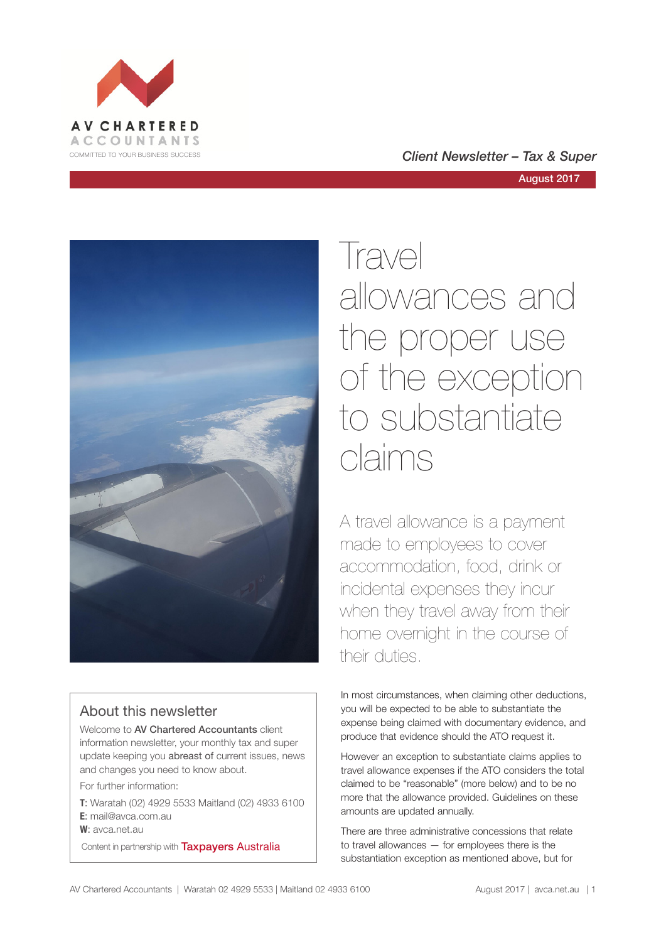





# About this newsletter

Welcome to AV Chartered Accountants client information newsletter, your monthly tax and super update keeping you abreast of current issues, news and changes you need to know about.

For further information:

**T**: Waratah (02) 4929 5533 Maitland (02) 4933 6100 **E**: mail@avca.com.au

**W**: avca.net.au

Content in partnership with **Taxpayers Australia** 

Travel allowances and the proper use of the exception to substantiate claims

A travel allowance is a payment made to employees to cover accommodation, food, drink or incidental expenses they incur when they travel away from their home overnight in the course of their duties.

In most circumstances, when claiming other deductions, you will be expected to be able to substantiate the expense being claimed with documentary evidence, and produce that evidence should the ATO request it.

However an exception to substantiate claims applies to travel allowance expenses if the ATO considers the total claimed to be "reasonable" (more below) and to be no more that the allowance provided. Guidelines on these amounts are updated annually.

There are three administrative concessions that relate to travel allowances — for employees there is the substantiation exception as mentioned above, but for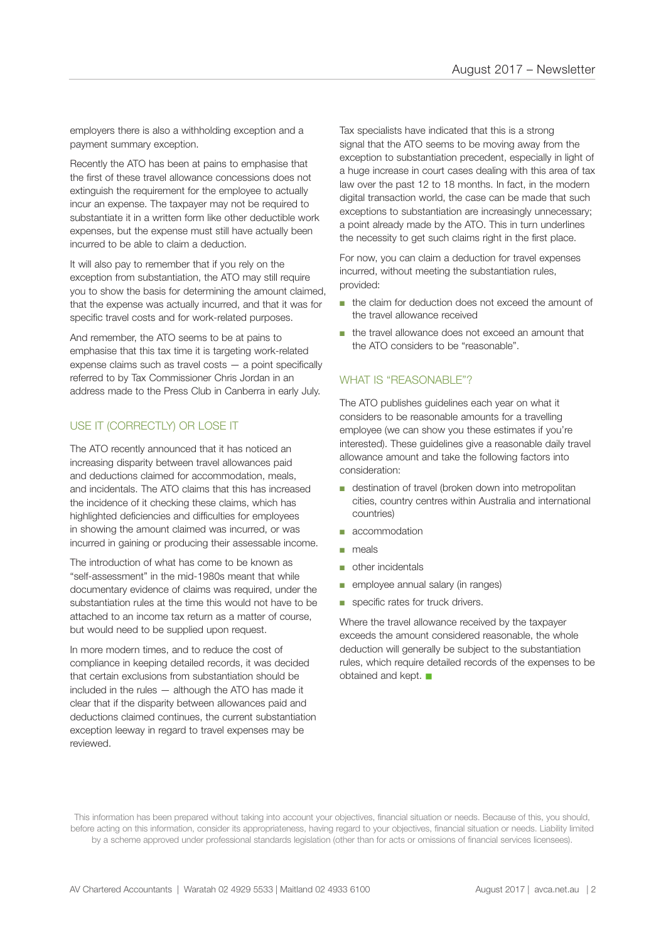employers there is also a withholding exception and a payment summary exception.

Recently the ATO has been at pains to emphasise that the first of these travel allowance concessions does not extinguish the requirement for the employee to actually incur an expense. The taxpayer may not be required to substantiate it in a written form like other deductible work expenses, but the expense must still have actually been incurred to be able to claim a deduction.

It will also pay to remember that if you rely on the exception from substantiation, the ATO may still require you to show the basis for determining the amount claimed, that the expense was actually incurred, and that it was for specific travel costs and for work-related purposes.

And remember, the ATO seems to be at pains to emphasise that this tax time it is targeting work-related expense claims such as travel costs — a point specifically referred to by Tax Commissioner Chris Jordan in an address made to the Press Club in Canberra in early July.

# USE IT (CORRECTLY) OR LOSE IT

The ATO recently announced that it has noticed an increasing disparity between travel allowances paid and deductions claimed for accommodation, meals, and incidentals. The ATO claims that this has increased the incidence of it checking these claims, which has highlighted deficiencies and difficulties for employees in showing the amount claimed was incurred, or was incurred in gaining or producing their assessable income.

The introduction of what has come to be known as "self-assessment" in the mid-1980s meant that while documentary evidence of claims was required, under the substantiation rules at the time this would not have to be attached to an income tax return as a matter of course, but would need to be supplied upon request.

In more modern times, and to reduce the cost of compliance in keeping detailed records, it was decided that certain exclusions from substantiation should be included in the rules — although the ATO has made it clear that if the disparity between allowances paid and deductions claimed continues, the current substantiation exception leeway in regard to travel expenses may be reviewed.

Tax specialists have indicated that this is a strong signal that the ATO seems to be moving away from the exception to substantiation precedent, especially in light of a huge increase in court cases dealing with this area of tax law over the past 12 to 18 months. In fact, in the modern digital transaction world, the case can be made that such exceptions to substantiation are increasingly unnecessary; a point already made by the ATO. This in turn underlines the necessity to get such claims right in the first place.

For now, you can claim a deduction for travel expenses incurred, without meeting the substantiation rules, provided:

- the claim for deduction does not exceed the amount of the travel allowance received
- the travel allowance does not exceed an amount that the ATO considers to be "reasonable".

#### WHAT IS "REASONABLE"?

The ATO publishes guidelines each year on what it considers to be reasonable amounts for a travelling employee (we can show you these estimates if you're interested). These guidelines give a reasonable daily travel allowance amount and take the following factors into consideration:

- destination of travel (broken down into metropolitan cities, country centres within Australia and international countries)
- accommodation
- meals
- other incidentals
- employee annual salary (in ranges)
- specific rates for truck drivers.

Where the travel allowance received by the taxpayer exceeds the amount considered reasonable, the whole deduction will generally be subject to the substantiation rules, which require detailed records of the expenses to be obtained and kept.  $\blacksquare$ 

This information has been prepared without taking into account your objectives, financial situation or needs. Because of this, you should, before acting on this information, consider its appropriateness, having regard to your objectives, financial situation or needs. Liability limited by a scheme approved under professional standards legislation (other than for acts or omissions of financial services licensees).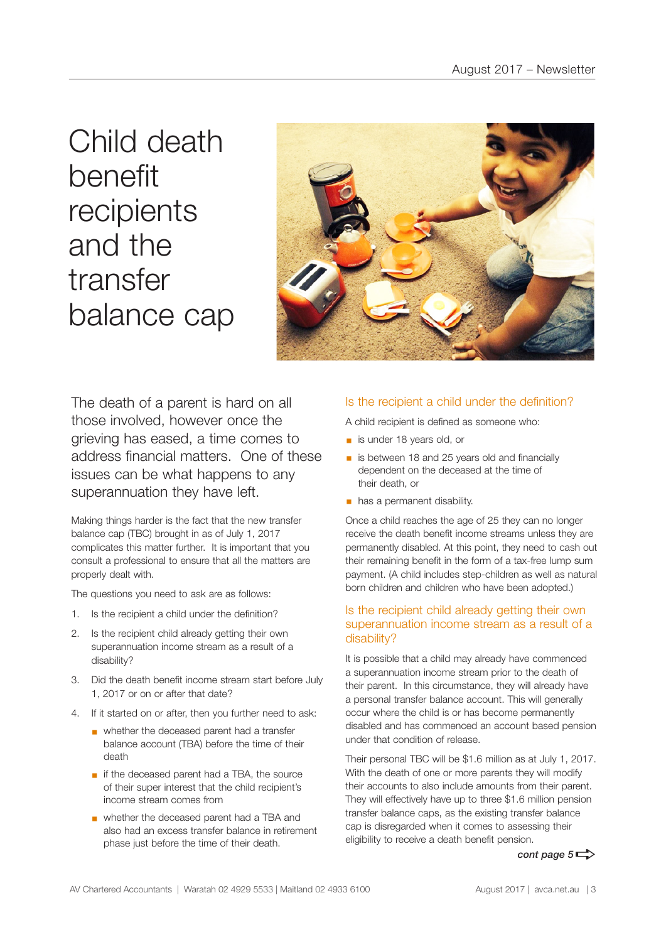Child death benefit recipients and the transfer balance cap



The death of a parent is hard on all those involved, however once the grieving has eased, a time comes to address financial matters. One of these issues can be what happens to any superannuation they have left.

Making things harder is the fact that the new transfer balance cap (TBC) brought in as of July 1, 2017 complicates this matter further. It is important that you consult a professional to ensure that all the matters are properly dealt with.

The questions you need to ask are as follows:

- 1. Is the recipient a child under the definition?
- 2. Is the recipient child already getting their own superannuation income stream as a result of a disability?
- 3. Did the death benefit income stream start before July 1, 2017 or on or after that date?
- 4. If it started on or after, then you further need to ask:
	- whether the deceased parent had a transfer balance account (TBA) before the time of their death
	- if the deceased parent had a TBA, the source of their super interest that the child recipient's income stream comes from
	- § whether the deceased parent had a TBA and also had an excess transfer balance in retirement phase just before the time of their death.

### Is the recipient a child under the definition?

A child recipient is defined as someone who:

- is under 18 years old, or
- is between 18 and 25 years old and financially dependent on the deceased at the time of their death, or
- **•** has a permanent disability.

Once a child reaches the age of 25 they can no longer receive the death benefit income streams unless they are permanently disabled. At this point, they need to cash out their remaining benefit in the form of a tax-free lump sum payment. (A child includes step-children as well as natural born children and children who have been adopted.)

### Is the recipient child already getting their own superannuation income stream as a result of a disability?

It is possible that a child may already have commenced a superannuation income stream prior to the death of their parent. In this circumstance, they will already have a personal transfer balance account. This will generally occur where the child is or has become permanently disabled and has commenced an account based pension under that condition of release.

Their personal TBC will be \$1.6 million as at July 1, 2017. With the death of one or more parents they will modify their accounts to also include amounts from their parent. They will effectively have up to three \$1.6 million pension transfer balance caps, as the existing transfer balance cap is disregarded when it comes to assessing their eligibility to receive a death benefit pension.

# *cont page*  $5 \Rightarrow$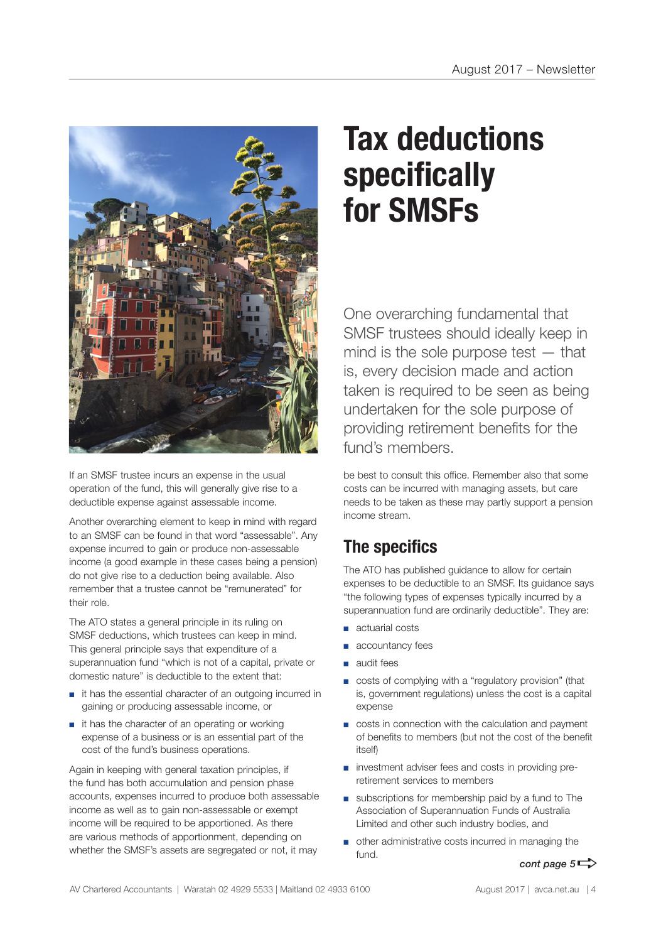

If an SMSF trustee incurs an expense in the usual operation of the fund, this will generally give rise to a deductible expense against assessable income.

Another overarching element to keep in mind with regard to an SMSF can be found in that word "assessable". Any expense incurred to gain or produce non-assessable income (a good example in these cases being a pension) do not give rise to a deduction being available. Also remember that a trustee cannot be "remunerated" for their role.

The ATO states a general principle in its ruling on SMSF deductions, which trustees can keep in mind. This general principle says that expenditure of a superannuation fund "which is not of a capital, private or domestic nature" is deductible to the extent that:

- it has the essential character of an outgoing incurred in gaining or producing assessable income, or
- it has the character of an operating or working expense of a business or is an essential part of the cost of the fund's business operations.

Again in keeping with general taxation principles, if the fund has both accumulation and pension phase accounts, expenses incurred to produce both assessable income as well as to gain non-assessable or exempt income will be required to be apportioned. As there are various methods of apportionment, depending on whether the SMSF's assets are segregated or not, it may

# **Tax deductions specifically for SMSFs**

One overarching fundamental that SMSF trustees should ideally keep in mind is the sole purpose test — that is, every decision made and action taken is required to be seen as being undertaken for the sole purpose of providing retirement benefits for the fund's members.

be best to consult this office. Remember also that some costs can be incurred with managing assets, but care needs to be taken as these may partly support a pension income stream.

# **The specifics**

The ATO has published guidance to allow for certain expenses to be deductible to an SMSF. Its guidance says "the following types of expenses typically incurred by a superannuation fund are ordinarily deductible". They are:

- actuarial costs
- accountancy fees
- audit fees
- costs of complying with a "regulatory provision" (that is, government regulations) unless the cost is a capital expense
- costs in connection with the calculation and payment of benefits to members (but not the cost of the benefit itself)
- investment adviser fees and costs in providing preretirement services to members
- subscriptions for membership paid by a fund to The Association of Superannuation Funds of Australia Limited and other such industry bodies, and
- other administrative costs incurred in managing the fund.

# *cont page*  $5 \Rightarrow$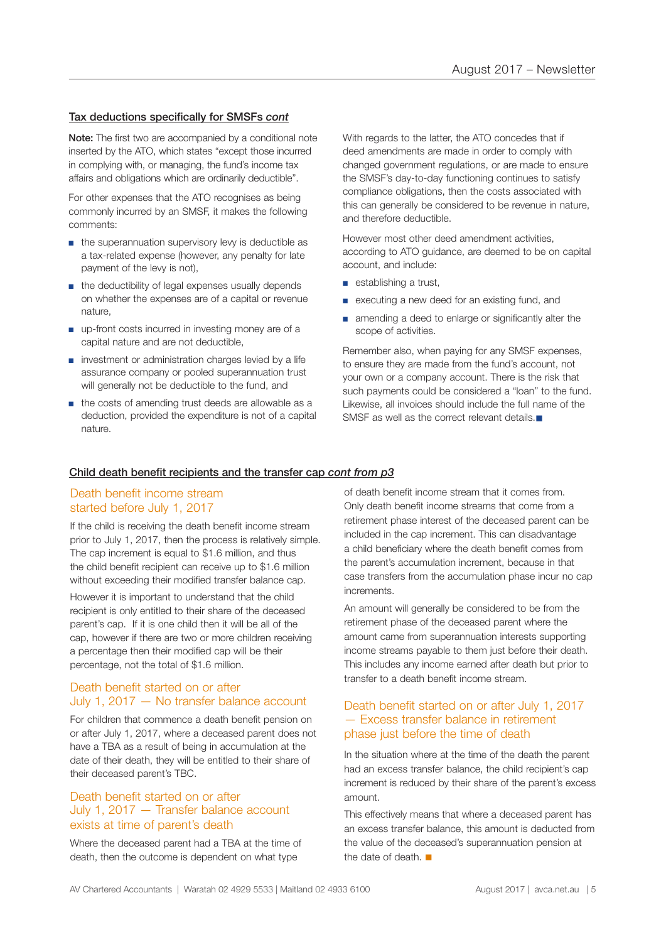### Tax deductions specifically for SMSFs *cont*

Note: The first two are accompanied by a conditional note inserted by the ATO, which states "except those incurred in complying with, or managing, the fund's income tax affairs and obligations which are ordinarily deductible".

For other expenses that the ATO recognises as being commonly incurred by an SMSF, it makes the following comments:

- the superannuation supervisory levy is deductible as a tax-related expense (however, any penalty for late payment of the levy is not),
- the deductibility of legal expenses usually depends on whether the expenses are of a capital or revenue nature,
- up-front costs incurred in investing money are of a capital nature and are not deductible,
- investment or administration charges levied by a life assurance company or pooled superannuation trust will generally not be deductible to the fund, and
- the costs of amending trust deeds are allowable as a deduction, provided the expenditure is not of a capital nature.

With regards to the latter, the ATO concedes that if deed amendments are made in order to comply with changed government regulations, or are made to ensure the SMSF's day-to-day functioning continues to satisfy compliance obligations, then the costs associated with this can generally be considered to be revenue in nature, and therefore deductible.

However most other deed amendment activities, according to ATO guidance, are deemed to be on capital account, and include:

- establishing a trust,
- executing a new deed for an existing fund, and
- amending a deed to enlarge or significantly alter the scope of activities.

Remember also, when paying for any SMSF expenses, to ensure they are made from the fund's account, not your own or a company account. There is the risk that such payments could be considered a "loan" to the fund. Likewise, all invoices should include the full name of the SMSF as well as the correct relevant details. $\blacksquare$ 

# Child death benefit recipients and the transfer cap *cont from p3*

# Death benefit income stream started before July 1, 2017

If the child is receiving the death benefit income stream prior to July 1, 2017, then the process is relatively simple. The cap increment is equal to \$1.6 million, and thus the child benefit recipient can receive up to \$1.6 million without exceeding their modified transfer balance cap.

However it is important to understand that the child recipient is only entitled to their share of the deceased parent's cap. If it is one child then it will be all of the cap, however if there are two or more children receiving a percentage then their modified cap will be their percentage, not the total of \$1.6 million.

# Death benefit started on or after July 1, 2017 — No transfer balance account

For children that commence a death benefit pension on or after July 1, 2017, where a deceased parent does not have a TBA as a result of being in accumulation at the date of their death, they will be entitled to their share of their deceased parent's TBC.

### Death benefit started on or after July 1, 2017 — Transfer balance account exists at time of parent's death

Where the deceased parent had a TBA at the time of death, then the outcome is dependent on what type

of death benefit income stream that it comes from. Only death benefit income streams that come from a retirement phase interest of the deceased parent can be included in the cap increment. This can disadvantage a child beneficiary where the death benefit comes from the parent's accumulation increment, because in that case transfers from the accumulation phase incur no cap increments.

An amount will generally be considered to be from the retirement phase of the deceased parent where the amount came from superannuation interests supporting income streams payable to them just before their death. This includes any income earned after death but prior to transfer to a death benefit income stream.

# Death benefit started on or after July 1, 2017 — Excess transfer balance in retirement phase just before the time of death

In the situation where at the time of the death the parent had an excess transfer balance, the child recipient's cap increment is reduced by their share of the parent's excess amount.

This effectively means that where a deceased parent has an excess transfer balance, this amount is deducted from the value of the deceased's superannuation pension at the date of death.  $\blacksquare$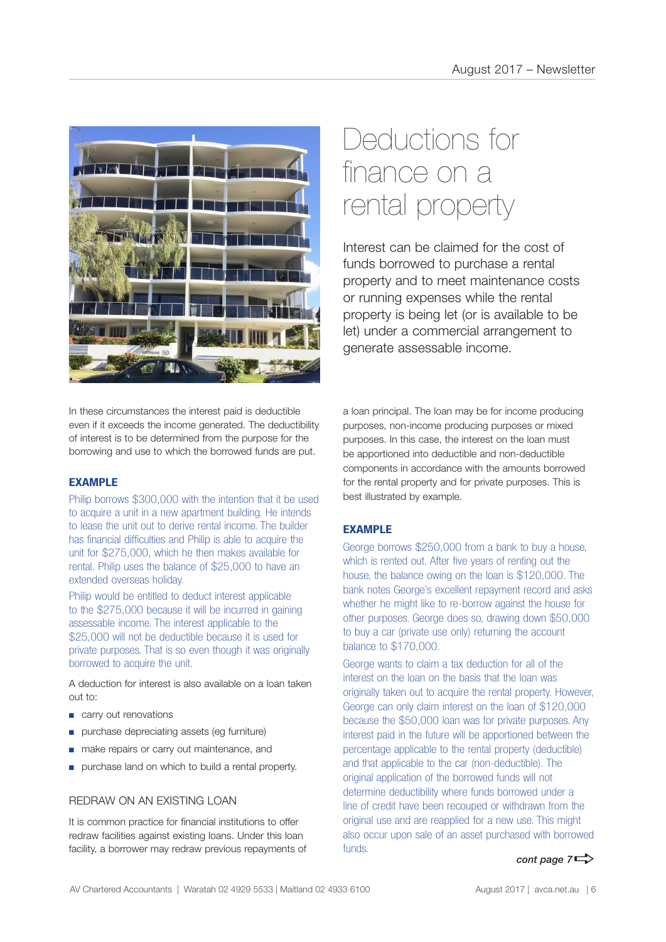

# Deductions for finance on a rental property

Interest can be claimed for the cost of funds borrowed to purchase a rental property and to meet maintenance costs or running expenses while the rental property is being let (or is available to be let) under a commercial arrangement to generate assessable income.

In these circumstances the interest paid is deductible even if it exceeds the income generated. The deductibility of interest is to be determined from the purpose for the borrowing and use to which the borrowed funds are put.

# **EXAMPLE**

Philip borrows \$300,000 with the intention that it be used to acquire a unit in a new apartment building. He intends to lease the unit out to derive rental income. The builder has financial difficulties and Philip is able to acquire the unit for \$275,000, which he then makes available for rental. Philip uses the balance of \$25,000 to have an extended overseas holiday.

Philip would be entitled to deduct interest applicable to the \$275,000 because it will be incurred in gaining assessable income. The interest applicable to the \$25,000 will not be deductible because it is used for private purposes. That is so even though it was originally borrowed to acquire the unit.

A deduction for interest is also available on a loan taken out to:

- carry out renovations
- purchase depreciating assets (eg furniture)
- make repairs or carry out maintenance, and
- purchase land on which to build a rental property.

# REDRAW ON AN EXISTING LOAN

It is common practice for financial institutions to offer redraw facilities against existing loans. Under this loan facility, a borrower may redraw previous repayments of a loan principal. The loan may be for income producing purposes, non-income producing purposes or mixed purposes. In this case, the interest on the loan must be apportioned into deductible and non-deductible components in accordance with the amounts borrowed for the rental property and for private purposes. This is best illustrated by example.

# **EXAMPLE**

George borrows \$250,000 from a bank to buy a house, which is rented out. After five years of renting out the house, the balance owing on the loan is \$120,000. The bank notes George's excellent repayment record and asks whether he might like to re-borrow against the house for other purposes. George does so, drawing down \$50,000 to buy a car (private use only) returning the account balance to \$170,000.

George wants to claim a tax deduction for all of the interest on the loan on the basis that the loan was originally taken out to acquire the rental property. However, George can only claim interest on the loan of \$120,000 because the \$50,000 loan was for private purposes. Any interest paid in the future will be apportioned between the percentage applicable to the rental property (deductible) and that applicable to the car (non-deductible). The original application of the borrowed funds will not determine deductibility where funds borrowed under a line of credit have been recouped or withdrawn from the original use and are reapplied for a new use. This might also occur upon sale of an asset purchased with borrowed funds.

*cont page*  $7 \Rightarrow$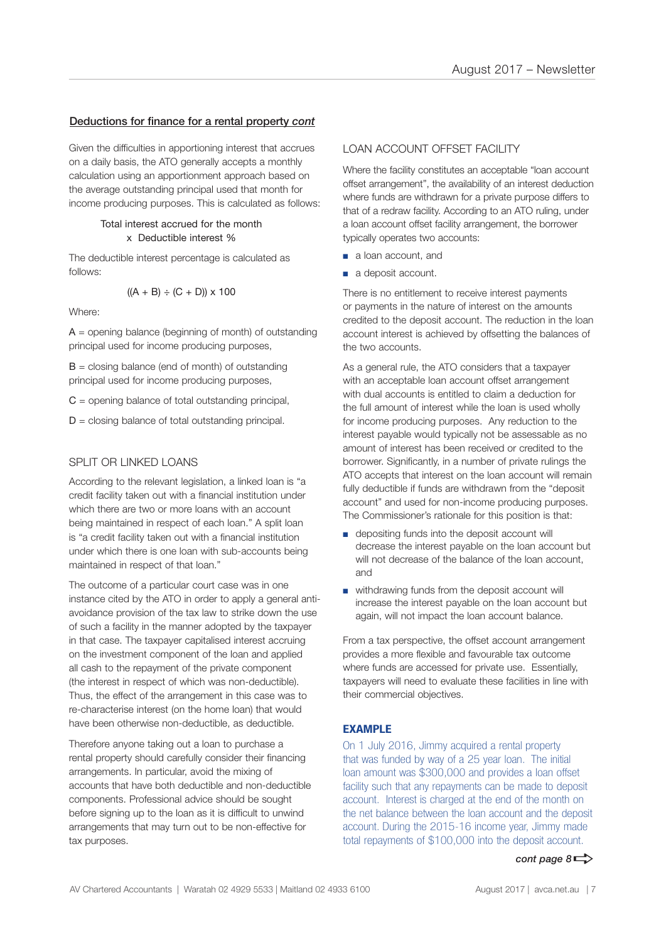### Deductions for finance for a rental property *cont*

Given the difficulties in apportioning interest that accrues on a daily basis, the ATO generally accepts a monthly calculation using an apportionment approach based on the average outstanding principal used that month for income producing purposes. This is calculated as follows:

### Total interest accrued for the month x Deductible interest %

The deductible interest percentage is calculated as follows:

$$
((A + B) \div (C + D)) \times 100
$$

Where:

 $A =$  opening balance (beginning of month) of outstanding principal used for income producing purposes,

 $B =$  closing balance (end of month) of outstanding principal used for income producing purposes,

 $C =$  opening balance of total outstanding principal,

 $D =$  closing balance of total outstanding principal.

# SPLIT OR LINKED LOANS

According to the relevant legislation, a linked loan is "a credit facility taken out with a financial institution under which there are two or more loans with an account being maintained in respect of each loan." A split loan is "a credit facility taken out with a financial institution under which there is one loan with sub-accounts being maintained in respect of that loan."

The outcome of a particular court case was in one instance cited by the ATO in order to apply a general antiavoidance provision of the tax law to strike down the use of such a facility in the manner adopted by the taxpayer in that case. The taxpayer capitalised interest accruing on the investment component of the loan and applied all cash to the repayment of the private component (the interest in respect of which was non-deductible). Thus, the effect of the arrangement in this case was to re-characterise interest (on the home loan) that would have been otherwise non-deductible, as deductible.

Therefore anyone taking out a loan to purchase a rental property should carefully consider their financing arrangements. In particular, avoid the mixing of accounts that have both deductible and non-deductible components. Professional advice should be sought before signing up to the loan as it is difficult to unwind arrangements that may turn out to be non-effective for tax purposes.

# LOAN ACCOUNT OFFSET FACILITY

Where the facility constitutes an acceptable "loan account" offset arrangement", the availability of an interest deduction where funds are withdrawn for a private purpose differs to that of a redraw facility. According to an ATO ruling, under a loan account offset facility arrangement, the borrower typically operates two accounts:

- a loan account, and
- a deposit account.

There is no entitlement to receive interest payments or payments in the nature of interest on the amounts credited to the deposit account. The reduction in the loan account interest is achieved by offsetting the balances of the two accounts.

As a general rule, the ATO considers that a taxpayer with an acceptable loan account offset arrangement with dual accounts is entitled to claim a deduction for the full amount of interest while the loan is used wholly for income producing purposes. Any reduction to the interest payable would typically not be assessable as no amount of interest has been received or credited to the borrower. Significantly, in a number of private rulings the ATO accepts that interest on the loan account will remain fully deductible if funds are withdrawn from the "deposit account" and used for non-income producing purposes. The Commissioner's rationale for this position is that:

- depositing funds into the deposit account will decrease the interest payable on the loan account but will not decrease of the balance of the loan account. and
- withdrawing funds from the deposit account will increase the interest payable on the loan account but again, will not impact the loan account balance.

From a tax perspective, the offset account arrangement provides a more flexible and favourable tax outcome where funds are accessed for private use. Essentially, taxpayers will need to evaluate these facilities in line with their commercial objectives.

# **EXAMPLE**

On 1 July 2016, Jimmy acquired a rental property that was funded by way of a 25 year loan. The initial loan amount was \$300,000 and provides a loan offset facility such that any repayments can be made to deposit account. Interest is charged at the end of the month on the net balance between the loan account and the deposit account. During the 2015-16 income year, Jimmy made total repayments of \$100,000 into the deposit account.